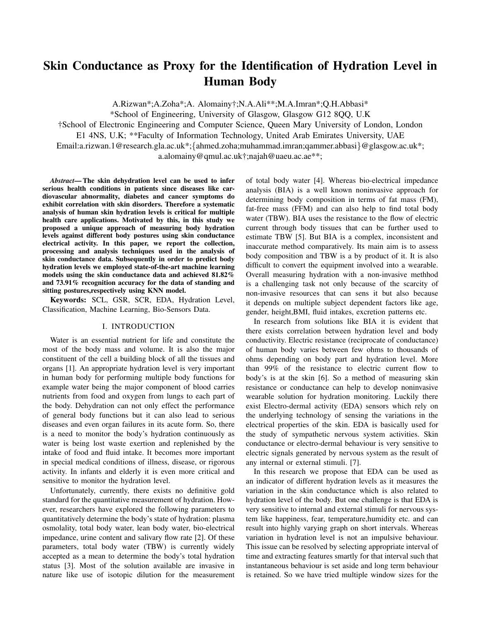# Skin Conductance as Proxy for the Identification of Hydration Level in Human Body

A.Rizwan\*;A.Zoha\*;A. Alomainy†;N.A.Ali\*\*;M.A.Imran\*;Q.H.Abbasi\*

\*School of Engineering, University of Glasgow, Glasgow G12 8QQ, U.K

†School of Electronic Engineering and Computer Science, Queen Mary University of London, London

E1 4NS, U.K; \*\*Faculty of Information Technology, United Arab Emirates University, UAE

Email:a.rizwan.1@research.gla.ac.uk\*;{ahmed.zoha;muhammad.imran;qammer.abbasi}@glasgow.ac.uk\*;

a.alomainy@qmul.ac.uk†;najah@uaeu.ac.ae\*\*;

*Abstract*— The skin dehydration level can be used to infer serious health conditions in patients since diseases like cardiovascular abnormality, diabetes and cancer symptoms do exhibit correlation with skin disorders. Therefore a systematic analysis of human skin hydration levels is critical for multiple health care applications. Motivated by this, in this study we proposed a unique approach of measuring body hydration levels against different body postures using skin conductance electrical activity. In this paper, we report the collection, processing and analysis techniques used in the analysis of skin conductance data. Subsequently in order to predict body hydration levels we employed state-of-the-art machine learning models using the skin conductance data and achieved 81.82% and 73.91% recognition accuracy for the data of standing and sitting postures, respectively using KNN model.

Keywords: SCL, GSR, SCR, EDA, Hydration Level, Classification, Machine Learning, Bio-Sensors Data.

# I. INTRODUCTION

Water is an essential nutrient for life and constitute the most of the body mass and volume. It is also the major constituent of the cell a building block of all the tissues and organs [1]. An appropriate hydration level is very important in human body for performing multiple body functions for example water being the major component of blood carries nutrients from food and oxygen from lungs to each part of the body. Dehydration can not only effect the performance of general body functions but it can also lead to serious diseases and even organ failures in its acute form. So, there is a need to monitor the body's hydration continuously as water is being lost waste exertion and replenished by the intake of food and fluid intake. It becomes more important in special medical conditions of illness, disease, or rigorous activity. In infants and elderly it is even more critical and sensitive to monitor the hydration level.

Unfortunately, currently, there exists no definitive gold standard for the quantitative measurement of hydration. However, researchers have explored the following parameters to quantitatively determine the body's state of hydration: plasma osmolality, total body water, lean body water, bio-electrical impedance, urine content and salivary flow rate [2]. Of these parameters, total body water (TBW) is currently widely accepted as a mean to determine the body's total hydration status [3]. Most of the solution available are invasive in nature like use of isotopic dilution for the measurement of total body water [4]. Whereas bio-electrical impedance analysis (BIA) is a well known noninvasive approach for determining body composition in terms of fat mass (FM), fat-free mass (FFM) and can also help to find total body water (TBW). BIA uses the resistance to the flow of electric current through body tissues that can be further used to estimate TBW [5]. But BIA is a complex, inconsistent and inaccurate method comparatively. Its main aim is to assess body composition and TBW is a by product of it. It is also difficult to convert the equipment involved into a wearable. Overall measuring hydration with a non-invasive methhod is a challenging task not only because of the scarcity of non-invasive resources that can sens it but also because it depends on multiple subject dependent factors like age, gender, height,BMI, fluid intakes, excretion patterns etc.

In research from solutions like BIA it is evident that there exists correlation between hydration level and body conductivity. Electric resistance (reciprocate of conductance) of human body varies between few ohms to thousands of ohms depending on body part and hydration level. More than 99% of the resistance to electric current flow to body's is at the skin [6]. So a method of measuring skin resistance or conductance can help to develop noninvasive wearable solution for hydration monitoring. Luckily there exist Electro-dermal activity (EDA) sensors which rely on the underlying technology of sensing the variations in the electrical properties of the skin. EDA is basically used for the study of sympathetic nervous system activities. Skin conductance or electro-dermal behaviour is very sensitive to electric signals generated by nervous system as the result of any internal or external stimuli. [7].

In this research we propose that EDA can be used as an indicator of different hydration levels as it measures the variation in the skin conductance which is also related to hydration level of the body. But one challenge is that EDA is very sensitive to internal and external stimuli for nervous system like happiness, fear, temperature,humidity etc. and can result into highly varying graph on short intervals. Whereas variation in hydration level is not an impulsive behaviour. This issue can be resolved by selecting appropriate interval of time and extracting features smartly for that interval such that instantaneous behaviour is set aside and long term behaviour is retained. So we have tried multiple window sizes for the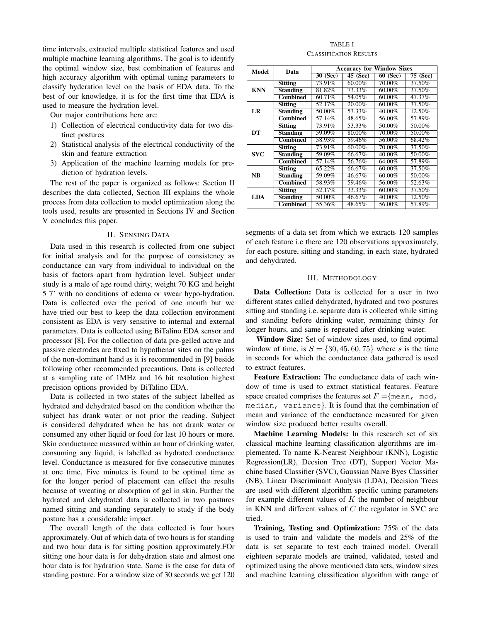time intervals, extracted multiple statistical features and used multiple machine learning algorithms. The goal is to identify the optimal window size, best combination of features and high accuracy algorithm with optimal tuning parameters to classify hyderation level on the basis of EDA data. To the best of our knowledge, it is for the first time that EDA is used to measure the hydration level.

Our major contributions here are:

- 1) Collection of electrical conductivity data for two distinct postures
- 2) Statistical analysis of the electrical conductivity of the skin and feature extraction
- 3) Application of the machine learning models for prediction of hydration levels.

The rest of the paper is organized as follows: Section II describes the data collected, Section III explains the whole process from data collection to model optimization along the tools used, results are presented in Sections IV and Section V concludes this paper.

## II. SENSING DATA

Data used in this research is collected from one subject for initial analysis and for the purpose of consistency as conductance can vary from individual to individual on the basis of factors apart from hydration level. Subject under study is a male of age round thirty, weight 70 KG and height 5 7' with no conditions of edema or swear hypo-hydration. Data is collected over the period of one month but we have tried our best to keep the data collection environment consistent as EDA is very sensitive to internal and external parameters. Data is collected using BiTalino EDA sensor and processor [8]. For the collection of data pre-gelled active and passive electrodes are fixed to hypothenar sites on the palms of the non-dominant hand as it is recommended in [9] beside following other recommended precautions. Data is collected at a sampling rate of 1MHz and 16 bit resolution highest precision options provided by BiTalino EDA.

Data is collected in two states of the subject labelled as hydrated and dehydrated based on the condition whether the subject has drank water or not prior the reading. Subject is considered dehydrated when he has not drank water or consumed any other liquid or food for last 10 hours or more. Skin conductance measured within an hour of drinking water, consuming any liquid, is labelled as hydrated conductance level. Conductance is measured for five consecutive minutes at one time. Five minutes is found to be optimal time as for the longer period of placement can effect the results because of sweating or absorption of gel in skin. Further the hydrated and dehydrated data is collected in two postures named sitting and standing separately to study if the body posture has a considerable impact.

The overall length of the data collected is four hours approximately. Out of which data of two hours is for standing and two hour data is for sitting position approximately.FOr sitting one hour data is for dehydration state and almost one hour data is for hydration state. Same is the case for data of standing posture. For a window size of 30 seconds we get 120

### TABLE I

# CLASSIFICATION RESULTS

| Model      | Data            | <b>Accuracy for Window Sizes</b> |            |          |            |
|------------|-----------------|----------------------------------|------------|----------|------------|
|            |                 | 30(Sec)                          | $45$ (Sec) | 60 (Sec) | $75$ (Sec) |
| <b>KNN</b> | <b>Sitting</b>  | 73.91%                           | 60.00%     | 70.00%   | 37.50%     |
|            | <b>Standing</b> | 81.82%                           | 73.33%     | 60.00%   | 37.50%     |
|            | <b>Combined</b> | 60.71%                           | 54.05%     | 60.00%   | 47.37%     |
| LR         | <b>Sitting</b>  | 52.17%                           | 20.00%     | 60.00%   | 37.50%     |
|            | <b>Standing</b> | 50.00%                           | 53.33%     | 40.00%   | 12.50%     |
|            | <b>Combined</b> | 57.14%                           | 48.65%     | 56.00%   | 57.89%     |
| DТ         | <b>Sitting</b>  | 73.91%                           | 53.33%     | 50.00%   | 50.00%     |
|            | <b>Standing</b> | 59.09%                           | 80.00%     | 70.00%   | 50.00%     |
|            | <b>Combined</b> | 58.93%                           | 59.46%     | 56.00%   | 68.42%     |
| <b>SVC</b> | <b>Sitting</b>  | 73.91%                           | 60.00%     | 70.00%   | 37.50%     |
|            | <b>Standing</b> | 59.09%                           | 66.67%     | 40.00%   | 50.00%     |
|            | <b>Combined</b> | 57.14%                           | 56.76%     | 64.00%   | 57.89%     |
| <b>NB</b>  | <b>Sitting</b>  | 65.22%                           | 66.67%     | 60.00%   | 37.50%     |
|            | <b>Standing</b> | 59.09%                           | 46.67%     | 60.00%   | 50.00%     |
|            | Combined        | 58.93%                           | 59.46%     | 56.00%   | 52.63%     |
| LDA        | <b>Sitting</b>  | 52.17%                           | 33.33%     | 60.00%   | 37.50%     |
|            | <b>Standing</b> | 50.00%                           | 46.67%     | 40.00%   | 12.50%     |
|            | <b>Combined</b> | 55.36%                           | 48.65%     | 56.00%   | 57.89%     |

segments of a data set from which we extracts 120 samples of each feature i.e there are 120 observations approximately, for each posture, sitting and standing, in each state, hydrated and dehydrated.

#### III. METHODOLOGY

Data Collection: Data is collected for a user in two different states called dehydrated, hydrated and two postures sitting and standing i.e. separate data is collected while sitting and standing before drinking water, remaining thirsty for longer hours, and same is repeated after drinking water.

Window Size: Set of window sizes used, to find optimal window of time, is  $S = \{30, 45, 60, 75\}$  where s is the time in seconds for which the conductance data gathered is used to extract features.

Feature Extraction: The conductance data of each window of time is used to extract statistical features. Feature space created comprises the features set  $F = \{$ mean, mod, median, variance}. It is found that the combination of mean and variance of the conductance measured for given window size produced better results overall.

Machine Learning Models: In this research set of six classical machine learning classification algorithms are implemented. To name K-Nearest Neighbour (KNN), Logistic Regression(LR), Decsion Tree (DT), Support Vector Machine based Classifier (SVC), Gaussian Naive Byes Classifier (NB), Linear Discriminant Analysis (LDA), Decision Trees are used with different algorithm specific tuning parameters for example different values of  $K$  the number of neighbour in KNN and different values of  $C$  the regulator in SVC are tried.

Training, Testing and Optimization: 75% of the data is used to train and validate the models and 25% of the data is set separate to test each trained model. Overall eighteen separate models are trained, validated, tested and optimized using the above mentioned data sets, window sizes and machine learning classification algorithm with range of